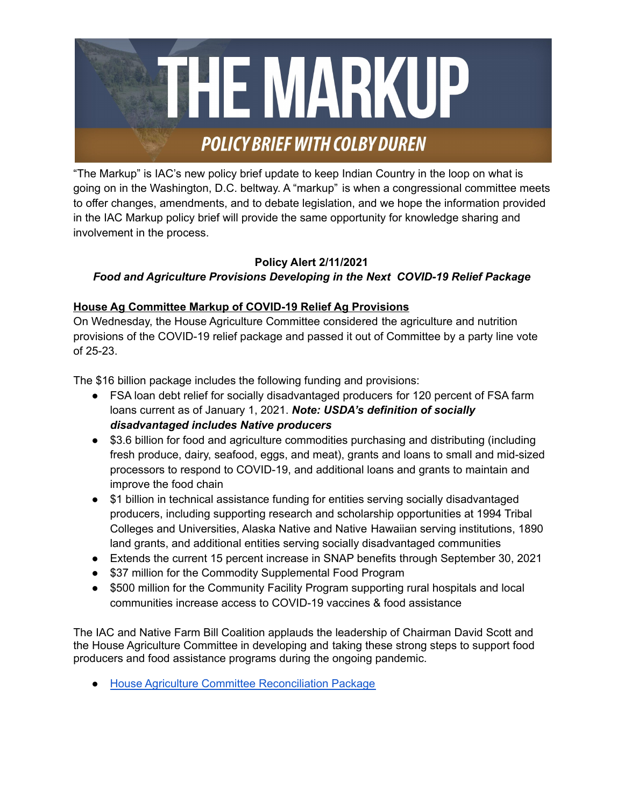

"The Markup" is IAC's new policy brief update to keep Indian Country in the loop on what is going on in the Washington, D.C. beltway. A "markup" is when a congressional committee meets to offer changes, amendments, and to debate legislation, and we hope the information provided in the IAC Markup policy brief will provide the same opportunity for knowledge sharing and involvement in the process.

## **Policy Alert 2/11/2021** *Food and Agriculture Provisions Developing in the Next COVID-19 Relief Package*

## **House Ag Committee Markup of COVID-19 Relief Ag Provisions**

On Wednesday, the House Agriculture Committee considered the agriculture and nutrition provisions of the COVID-19 relief package and passed it out of Committee by a party line vote of 25-23.

The \$16 billion package includes the following funding and provisions:

- FSA loan debt relief for socially disadvantaged producers for 120 percent of FSA farm loans current as of January 1, 2021. *Note: USDA's definition of socially disadvantaged includes Native producers*
- \$3.6 billion for food and agriculture commodities purchasing and distributing (including fresh produce, dairy, seafood, eggs, and meat), grants and loans to small and mid-sized processors to respond to COVID-19, and additional loans and grants to maintain and improve the food chain
- \$1 billion in technical assistance funding for entities serving socially disadvantaged producers, including supporting research and scholarship opportunities at 1994 Tribal Colleges and Universities, Alaska Native and Native Hawaiian serving institutions, 1890 land grants, and additional entities serving socially disadvantaged communities
- Extends the current 15 percent increase in SNAP benefits through September 30, 2021
- \$37 million for the Commodity Supplemental Food Program
- \$500 million for the Community Facility Program supporting rural hospitals and local communities increase access to COVID-19 vaccines & food assistance

The IAC and Native Farm Bill Coalition applauds the leadership of Chairman David Scott and the House Agriculture Committee in developing and taking these strong steps to support food producers and food assistance programs during the ongoing pandemic.

● House Agriculture Committee [Reconciliation](https://docs.house.gov/meetings/AG/AG00/20210210/111183/BILLS-117SConRes5ih.pdf) Package